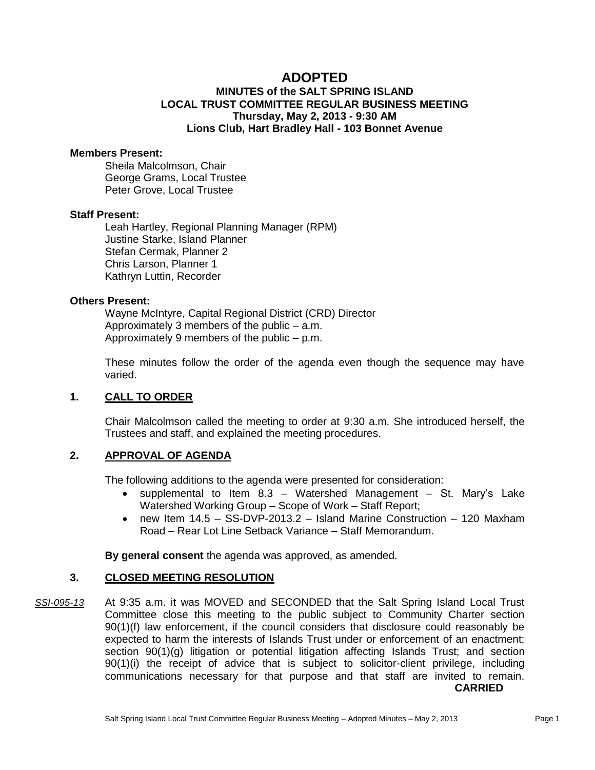# **ADOPTED**

# **MINUTES of the SALT SPRING ISLAND LOCAL TRUST COMMITTEE REGULAR BUSINESS MEETING Thursday, May 2, 2013 - 9:30 AM Lions Club, Hart Bradley Hall - 103 Bonnet Avenue**

#### **Members Present:**

Sheila Malcolmson, Chair George Grams, Local Trustee Peter Grove, Local Trustee

### **Staff Present:**

Leah Hartley, Regional Planning Manager (RPM) Justine Starke, Island Planner Stefan Cermak, Planner 2 Chris Larson, Planner 1 Kathryn Luttin, Recorder

#### **Others Present:**

Wayne McIntyre, Capital Regional District (CRD) Director Approximately 3 members of the public – a.m. Approximately 9 members of the public – p.m.

These minutes follow the order of the agenda even though the sequence may have varied.

#### **1. CALL TO ORDER**

Chair Malcolmson called the meeting to order at 9:30 a.m. She introduced herself, the Trustees and staff, and explained the meeting procedures.

#### **2. APPROVAL OF AGENDA**

The following additions to the agenda were presented for consideration:

- supplemental to Item  $8.3$  Watershed Management St. Mary's Lake Watershed Working Group – Scope of Work – Staff Report;
- new Item  $14.5 -$  SS-DVP-2013.2 Island Marine Construction 120 Maxham Road – Rear Lot Line Setback Variance – Staff Memorandum.

**By general consent** the agenda was approved, as amended.

#### **3. CLOSED MEETING RESOLUTION**

*SSI-095-13* At 9:35 a.m. it was MOVED and SECONDED that the Salt Spring Island Local Trust Committee close this meeting to the public subject to Community Charter section 90(1)(f) law enforcement, if the council considers that disclosure could reasonably be expected to harm the interests of Islands Trust under or enforcement of an enactment; section 90(1)(g) litigation or potential litigation affecting Islands Trust; and section 90(1)(i) the receipt of advice that is subject to solicitor-client privilege, including communications necessary for that purpose and that staff are invited to remain. **CARRIED**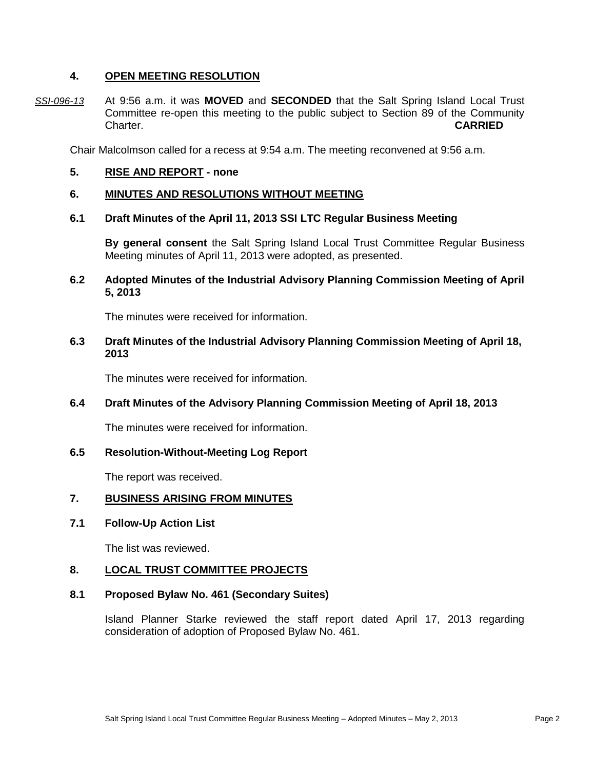## **4. OPEN MEETING RESOLUTION**

*SSI-096-13* At 9:56 a.m. it was **MOVED** and **SECONDED** that the Salt Spring Island Local Trust Committee re-open this meeting to the public subject to Section 89 of the Community Charter. **CARRIED**

Chair Malcolmson called for a recess at 9:54 a.m. The meeting reconvened at 9:56 a.m.

**5. RISE AND REPORT - none**

#### **6. MINUTES AND RESOLUTIONS WITHOUT MEETING**

#### **6.1 Draft Minutes of the April 11, 2013 SSI LTC Regular Business Meeting**

**By general consent** the Salt Spring Island Local Trust Committee Regular Business Meeting minutes of April 11, 2013 were adopted, as presented.

## **6.2 Adopted Minutes of the Industrial Advisory Planning Commission Meeting of April 5, 2013**

The minutes were received for information.

### **6.3 Draft Minutes of the Industrial Advisory Planning Commission Meeting of April 18, 2013**

The minutes were received for information.

# **6.4 Draft Minutes of the Advisory Planning Commission Meeting of April 18, 2013**

The minutes were received for information.

#### **6.5 Resolution-Without-Meeting Log Report**

The report was received.

# **7. BUSINESS ARISING FROM MINUTES**

#### **7.1 Follow-Up Action List**

The list was reviewed.

#### **8. LOCAL TRUST COMMITTEE PROJECTS**

### **8.1 Proposed Bylaw No. 461 (Secondary Suites)**

Island Planner Starke reviewed the staff report dated April 17, 2013 regarding consideration of adoption of Proposed Bylaw No. 461.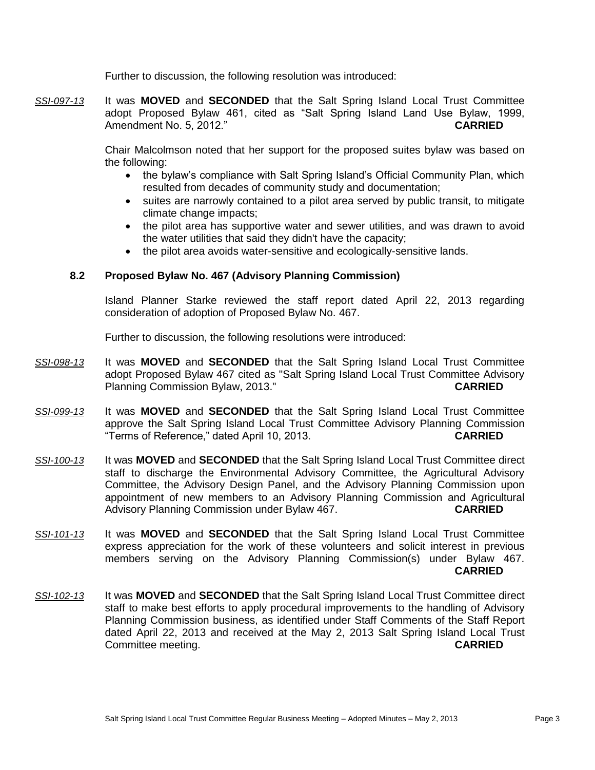Further to discussion, the following resolution was introduced:

*SSI-097-13* It was **MOVED** and **SECONDED** that the Salt Spring Island Local Trust Committee adopt Proposed Bylaw 461, cited as "Salt Spring Island Land Use Bylaw, 1999, Amendment No. 5, 2012." **CARRIED**

> Chair Malcolmson noted that her support for the proposed suites bylaw was based on the following:

- the bylaw's compliance with Salt Spring Island's Official Community Plan, which resulted from decades of community study and documentation;
- suites are narrowly contained to a pilot area served by public transit, to mitigate climate change impacts;
- the pilot area has supportive water and sewer utilities, and was drawn to avoid the water utilities that said they didn't have the capacity;
- the pilot area avoids water-sensitive and ecologically-sensitive lands.

# **8.2 Proposed Bylaw No. 467 (Advisory Planning Commission)**

Island Planner Starke reviewed the staff report dated April 22, 2013 regarding consideration of adoption of Proposed Bylaw No. 467.

Further to discussion, the following resolutions were introduced:

- *SSI-098-13* It was **MOVED** and **SECONDED** that the Salt Spring Island Local Trust Committee adopt Proposed Bylaw 467 cited as "Salt Spring Island Local Trust Committee Advisory Planning Commission Bylaw, 2013." **CARRIED**
- *SSI-099-13* It was **MOVED** and **SECONDED** that the Salt Spring Island Local Trust Committee approve the Salt Spring Island Local Trust Committee Advisory Planning Commission "Terms of Reference," dated April 10, 2013. **CARRIED**
- *SSI-100-13* It was **MOVED** and **SECONDED** that the Salt Spring Island Local Trust Committee direct staff to discharge the Environmental Advisory Committee, the Agricultural Advisory Committee, the Advisory Design Panel, and the Advisory Planning Commission upon appointment of new members to an Advisory Planning Commission and Agricultural Advisory Planning Commission under Bylaw 467. **CARRIED**
- *SSI-101-13* It was **MOVED** and **SECONDED** that the Salt Spring Island Local Trust Committee express appreciation for the work of these volunteers and solicit interest in previous members serving on the Advisory Planning Commission(s) under Bylaw 467. **CARRIED**
- *SSI-102-13* It was **MOVED** and **SECONDED** that the Salt Spring Island Local Trust Committee direct staff to make best efforts to apply procedural improvements to the handling of Advisory Planning Commission business, as identified under Staff Comments of the Staff Report dated April 22, 2013 and received at the May 2, 2013 Salt Spring Island Local Trust Committee meeting. **CARRIED**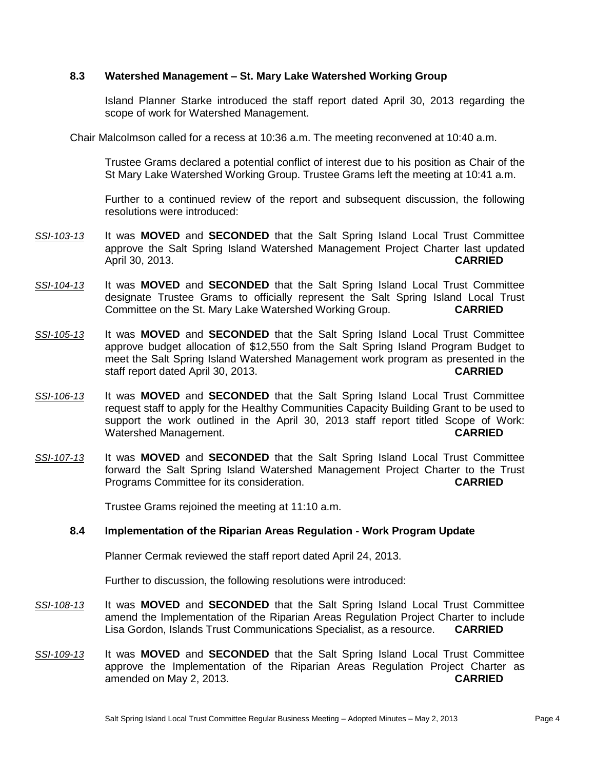## **8.3 Watershed Management – St. Mary Lake Watershed Working Group**

Island Planner Starke introduced the staff report dated April 30, 2013 regarding the scope of work for Watershed Management.

Chair Malcolmson called for a recess at 10:36 a.m. The meeting reconvened at 10:40 a.m.

Trustee Grams declared a potential conflict of interest due to his position as Chair of the St Mary Lake Watershed Working Group. Trustee Grams left the meeting at 10:41 a.m.

Further to a continued review of the report and subsequent discussion, the following resolutions were introduced:

- *SSI-103-13* It was **MOVED** and **SECONDED** that the Salt Spring Island Local Trust Committee approve the Salt Spring Island Watershed Management Project Charter last updated April 30, 2013. **CARRIED**
- *SSI-104-13* It was **MOVED** and **SECONDED** that the Salt Spring Island Local Trust Committee designate Trustee Grams to officially represent the Salt Spring Island Local Trust Committee on the St. Mary Lake Watershed Working Group. **CARRIED**
- *SSI-105-13* It was **MOVED** and **SECONDED** that the Salt Spring Island Local Trust Committee approve budget allocation of \$12,550 from the Salt Spring Island Program Budget to meet the Salt Spring Island Watershed Management work program as presented in the staff report dated April 30, 2013. **CARRIED**
- *SSI-106-13* It was **MOVED** and **SECONDED** that the Salt Spring Island Local Trust Committee request staff to apply for the Healthy Communities Capacity Building Grant to be used to support the work outlined in the April 30, 2013 staff report titled Scope of Work: Watershed Management. **CARRIED**
- *SSI-107-13* It was **MOVED** and **SECONDED** that the Salt Spring Island Local Trust Committee forward the Salt Spring Island Watershed Management Project Charter to the Trust Programs Committee for its consideration. **CARRIED**

Trustee Grams rejoined the meeting at 11:10 a.m.

#### **8.4 Implementation of the Riparian Areas Regulation - Work Program Update**

Planner Cermak reviewed the staff report dated April 24, 2013.

Further to discussion, the following resolutions were introduced:

- *SSI-108-13* It was **MOVED** and **SECONDED** that the Salt Spring Island Local Trust Committee amend the Implementation of the Riparian Areas Regulation Project Charter to include Lisa Gordon, Islands Trust Communications Specialist, as a resource. **CARRIED**
- *SSI-109-13* It was **MOVED** and **SECONDED** that the Salt Spring Island Local Trust Committee approve the Implementation of the Riparian Areas Regulation Project Charter as amended on May 2, 2013. **CARRIED**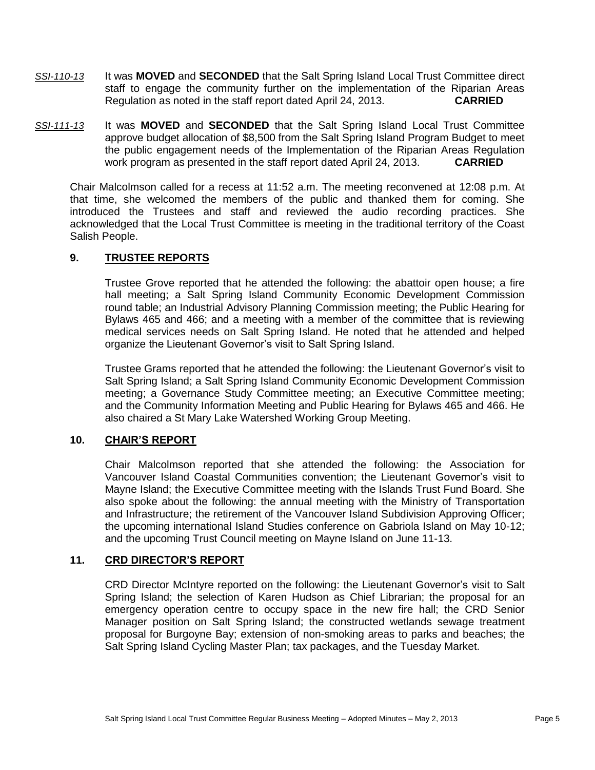- *SSI-110-13* It was **MOVED** and **SECONDED** that the Salt Spring Island Local Trust Committee direct staff to engage the community further on the implementation of the Riparian Areas Regulation as noted in the staff report dated April 24, 2013. **CARRIED**
- *SSI-111-13* It was **MOVED** and **SECONDED** that the Salt Spring Island Local Trust Committee approve budget allocation of \$8,500 from the Salt Spring Island Program Budget to meet the public engagement needs of the Implementation of the Riparian Areas Regulation work program as presented in the staff report dated April 24, 2013. **CARRIED**

Chair Malcolmson called for a recess at 11:52 a.m. The meeting reconvened at 12:08 p.m. At that time, she welcomed the members of the public and thanked them for coming. She introduced the Trustees and staff and reviewed the audio recording practices. She acknowledged that the Local Trust Committee is meeting in the traditional territory of the Coast Salish People.

# **9. TRUSTEE REPORTS**

Trustee Grove reported that he attended the following: the abattoir open house; a fire hall meeting; a Salt Spring Island Community Economic Development Commission round table; an Industrial Advisory Planning Commission meeting; the Public Hearing for Bylaws 465 and 466; and a meeting with a member of the committee that is reviewing medical services needs on Salt Spring Island. He noted that he attended and helped organize the Lieutenant Governor's visit to Salt Spring Island.

Trustee Grams reported that he attended the following: the Lieutenant Governor's visit to Salt Spring Island; a Salt Spring Island Community Economic Development Commission meeting; a Governance Study Committee meeting; an Executive Committee meeting; and the Community Information Meeting and Public Hearing for Bylaws 465 and 466. He also chaired a St Mary Lake Watershed Working Group Meeting.

# **10. CHAIR'S REPORT**

Chair Malcolmson reported that she attended the following: the Association for Vancouver Island Coastal Communities convention; the Lieutenant Governor's visit to Mayne Island; the Executive Committee meeting with the Islands Trust Fund Board. She also spoke about the following: the annual meeting with the Ministry of Transportation and Infrastructure; the retirement of the Vancouver Island Subdivision Approving Officer; the upcoming international Island Studies conference on Gabriola Island on May 10-12; and the upcoming Trust Council meeting on Mayne Island on June 11-13.

#### **11. CRD DIRECTOR'S REPORT**

CRD Director McIntyre reported on the following: the Lieutenant Governor's visit to Salt Spring Island; the selection of Karen Hudson as Chief Librarian; the proposal for an emergency operation centre to occupy space in the new fire hall; the CRD Senior Manager position on Salt Spring Island; the constructed wetlands sewage treatment proposal for Burgoyne Bay; extension of non-smoking areas to parks and beaches; the Salt Spring Island Cycling Master Plan; tax packages, and the Tuesday Market.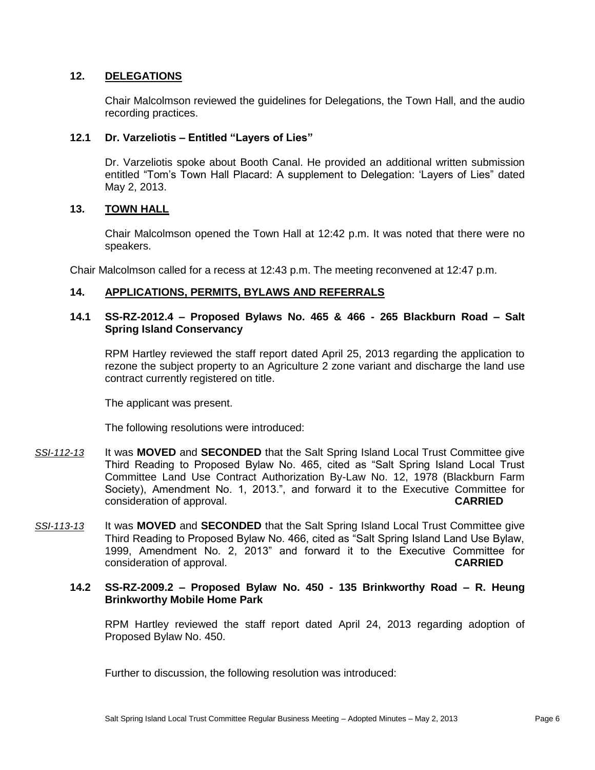# **12. DELEGATIONS**

Chair Malcolmson reviewed the guidelines for Delegations, the Town Hall, and the audio recording practices.

### **12.1 Dr. Varzeliotis – Entitled "Layers of Lies"**

Dr. Varzeliotis spoke about Booth Canal. He provided an additional written submission entitled "Tom's Town Hall Placard: A supplement to Delegation: 'Layers of Lies" dated May 2, 2013.

#### **13. TOWN HALL**

Chair Malcolmson opened the Town Hall at 12:42 p.m. It was noted that there were no speakers.

Chair Malcolmson called for a recess at 12:43 p.m. The meeting reconvened at 12:47 p.m.

# **14. APPLICATIONS, PERMITS, BYLAWS AND REFERRALS**

### **14.1 SS-RZ-2012.4 – Proposed Bylaws No. 465 & 466 - 265 Blackburn Road – Salt Spring Island Conservancy**

RPM Hartley reviewed the staff report dated April 25, 2013 regarding the application to rezone the subject property to an Agriculture 2 zone variant and discharge the land use contract currently registered on title.

The applicant was present.

The following resolutions were introduced:

- *SSI-112-13* It was **MOVED** and **SECONDED** that the Salt Spring Island Local Trust Committee give Third Reading to Proposed Bylaw No. 465, cited as "Salt Spring Island Local Trust Committee Land Use Contract Authorization By-Law No. 12, 1978 (Blackburn Farm Society), Amendment No. 1, 2013.", and forward it to the Executive Committee for consideration of approval. **CARRIED**
- *SSI-113-13* It was **MOVED** and **SECONDED** that the Salt Spring Island Local Trust Committee give Third Reading to Proposed Bylaw No. 466, cited as "Salt Spring Island Land Use Bylaw, 1999, Amendment No. 2, 2013" and forward it to the Executive Committee for consideration of approval. **CARRIED**

#### **14.2 SS-RZ-2009.2 – Proposed Bylaw No. 450 - 135 Brinkworthy Road – R. Heung Brinkworthy Mobile Home Park**

RPM Hartley reviewed the staff report dated April 24, 2013 regarding adoption of Proposed Bylaw No. 450.

Further to discussion, the following resolution was introduced: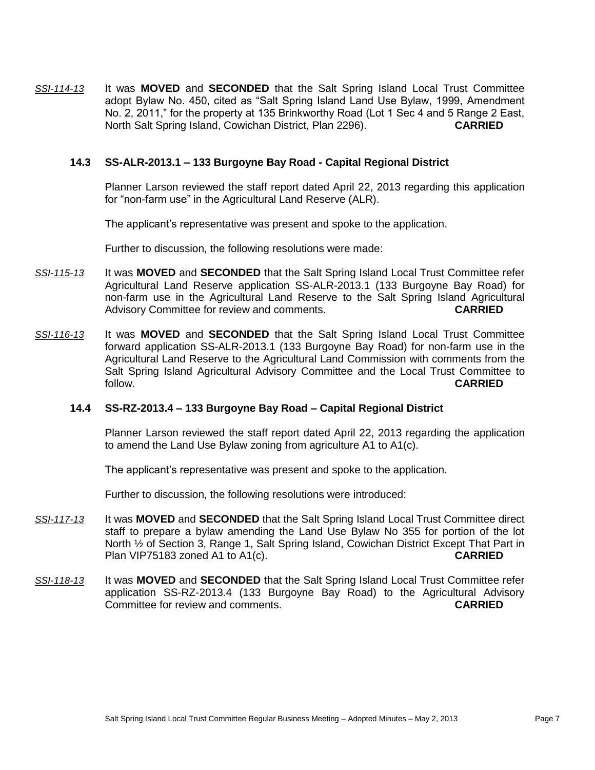*SSI-114-13* It was **MOVED** and **SECONDED** that the Salt Spring Island Local Trust Committee adopt Bylaw No. 450, cited as "Salt Spring Island Land Use Bylaw, 1999, Amendment No. 2, 2011," for the property at 135 Brinkworthy Road (Lot 1 Sec 4 and 5 Range 2 East, North Salt Spring Island, Cowichan District, Plan 2296). **CARRIED**

### **14.3 SS-ALR-2013.1 – 133 Burgoyne Bay Road - Capital Regional District**

Planner Larson reviewed the staff report dated April 22, 2013 regarding this application for "non-farm use" in the Agricultural Land Reserve (ALR).

The applicant's representative was present and spoke to the application.

Further to discussion, the following resolutions were made:

- *SSI-115-13* It was **MOVED** and **SECONDED** that the Salt Spring Island Local Trust Committee refer Agricultural Land Reserve application SS-ALR-2013.1 (133 Burgoyne Bay Road) for non-farm use in the Agricultural Land Reserve to the Salt Spring Island Agricultural Advisory Committee for review and comments. **CARRIED**
- *SSI-116-13* It was **MOVED** and **SECONDED** that the Salt Spring Island Local Trust Committee forward application SS-ALR-2013.1 (133 Burgoyne Bay Road) for non-farm use in the Agricultural Land Reserve to the Agricultural Land Commission with comments from the Salt Spring Island Agricultural Advisory Committee and the Local Trust Committee to follow. **CARRIED**

### **14.4 SS-RZ-2013.4 – 133 Burgoyne Bay Road – Capital Regional District**

Planner Larson reviewed the staff report dated April 22, 2013 regarding the application to amend the Land Use Bylaw zoning from agriculture A1 to A1(c).

The applicant's representative was present and spoke to the application.

Further to discussion, the following resolutions were introduced:

- *SSI-117-13* It was **MOVED** and **SECONDED** that the Salt Spring Island Local Trust Committee direct staff to prepare a bylaw amending the Land Use Bylaw No 355 for portion of the lot North <sup>1/2</sup> of Section 3, Range 1, Salt Spring Island, Cowichan District Except That Part in Plan VIP75183 zoned A1 to A1(c). **CARRIED**
- *SSI-118-13* It was **MOVED** and **SECONDED** that the Salt Spring Island Local Trust Committee refer application SS-RZ-2013.4 (133 Burgoyne Bay Road) to the Agricultural Advisory Committee for review and comments. **CARRIED**